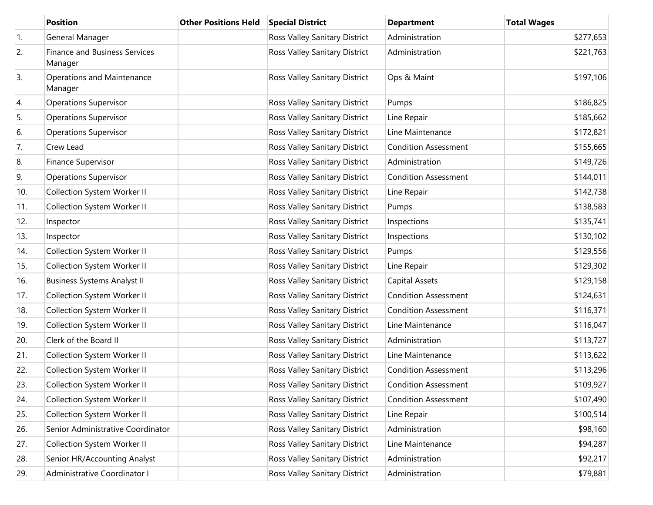|     | <b>Position</b>                                 | <b>Other Positions Held</b> | <b>Special District</b>       | <b>Department</b>           | <b>Total Wages</b> |
|-----|-------------------------------------------------|-----------------------------|-------------------------------|-----------------------------|--------------------|
| 1.  | General Manager                                 |                             | Ross Valley Sanitary District | Administration              | \$277,653          |
| 2.  | <b>Finance and Business Services</b><br>Manager |                             | Ross Valley Sanitary District | Administration              | \$221,763          |
| 3.  | Operations and Maintenance<br>Manager           |                             | Ross Valley Sanitary District | Ops & Maint                 | \$197,106          |
| 4.  | <b>Operations Supervisor</b>                    |                             | Ross Valley Sanitary District | Pumps                       | \$186,825          |
| 5.  | <b>Operations Supervisor</b>                    |                             | Ross Valley Sanitary District | Line Repair                 | \$185,662          |
| 6.  | <b>Operations Supervisor</b>                    |                             | Ross Valley Sanitary District | Line Maintenance            | \$172,821          |
| 7.  | Crew Lead                                       |                             | Ross Valley Sanitary District | <b>Condition Assessment</b> | \$155,665          |
| 8.  | Finance Supervisor                              |                             | Ross Valley Sanitary District | Administration              | \$149,726          |
| 9.  | <b>Operations Supervisor</b>                    |                             | Ross Valley Sanitary District | <b>Condition Assessment</b> | \$144,011          |
| 10. | Collection System Worker II                     |                             | Ross Valley Sanitary District | Line Repair                 | \$142,738          |
| 11. | Collection System Worker II                     |                             | Ross Valley Sanitary District | Pumps                       | \$138,583          |
| 12. | Inspector                                       |                             | Ross Valley Sanitary District | Inspections                 | \$135,741          |
| 13. | Inspector                                       |                             | Ross Valley Sanitary District | Inspections                 | \$130,102          |
| 14. | Collection System Worker II                     |                             | Ross Valley Sanitary District | Pumps                       | \$129,556          |
| 15. | Collection System Worker II                     |                             | Ross Valley Sanitary District | Line Repair                 | \$129,302          |
| 16. | <b>Business Systems Analyst II</b>              |                             | Ross Valley Sanitary District | <b>Capital Assets</b>       | \$129,158          |
| 17. | Collection System Worker II                     |                             | Ross Valley Sanitary District | <b>Condition Assessment</b> | \$124,631          |
| 18. | Collection System Worker II                     |                             | Ross Valley Sanitary District | <b>Condition Assessment</b> | \$116,371          |
| 19. | Collection System Worker II                     |                             | Ross Valley Sanitary District | Line Maintenance            | \$116,047          |
| 20. | Clerk of the Board II                           |                             | Ross Valley Sanitary District | Administration              | \$113,727          |
| 21. | Collection System Worker II                     |                             | Ross Valley Sanitary District | Line Maintenance            | \$113,622          |
| 22. | Collection System Worker II                     |                             | Ross Valley Sanitary District | <b>Condition Assessment</b> | \$113,296          |
| 23. | Collection System Worker II                     |                             | Ross Valley Sanitary District | <b>Condition Assessment</b> | \$109,927          |
| 24. | Collection System Worker II                     |                             | Ross Valley Sanitary District | <b>Condition Assessment</b> | \$107,490          |
| 25. | Collection System Worker II                     |                             | Ross Valley Sanitary District | Line Repair                 | \$100,514          |
| 26. | Senior Administrative Coordinator               |                             | Ross Valley Sanitary District | Administration              | \$98,160           |
| 27. | Collection System Worker II                     |                             | Ross Valley Sanitary District | Line Maintenance            | \$94,287           |
| 28. | Senior HR/Accounting Analyst                    |                             | Ross Valley Sanitary District | Administration              | \$92,217           |
| 29. | Administrative Coordinator I                    |                             | Ross Valley Sanitary District | Administration              | \$79,881           |